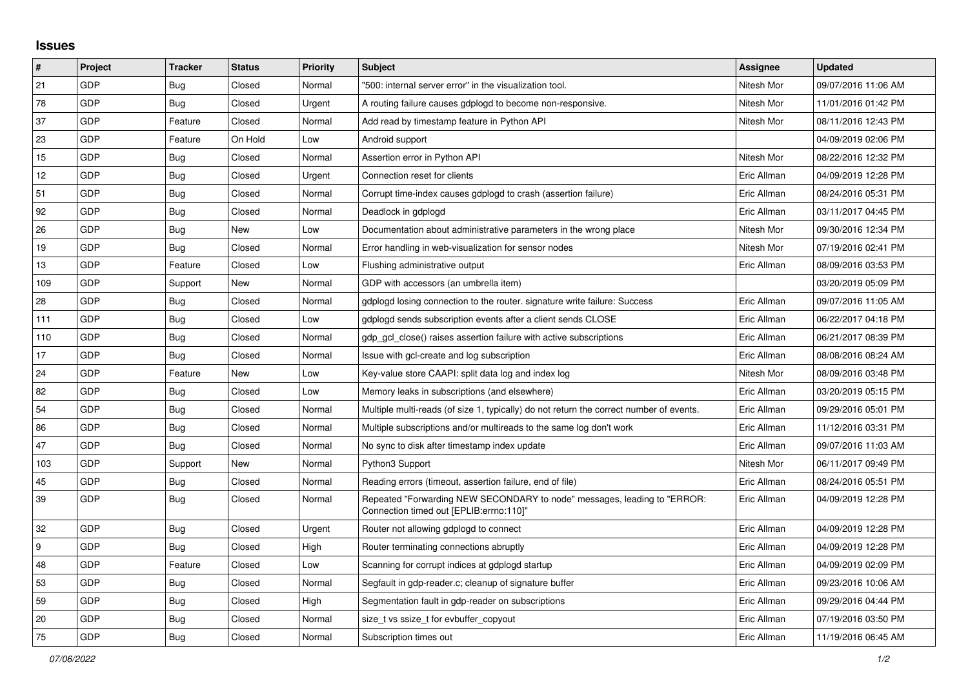## **Issues**

| #   | Project | <b>Tracker</b> | <b>Status</b> | <b>Priority</b> | <b>Subject</b>                                                                                                      | <b>Assignee</b> | <b>Updated</b>      |
|-----|---------|----------------|---------------|-----------------|---------------------------------------------------------------------------------------------------------------------|-----------------|---------------------|
| 21  | GDP     | <b>Bug</b>     | Closed        | Normal          | "500: internal server error" in the visualization tool.                                                             | Nitesh Mor      | 09/07/2016 11:06 AM |
| 78  | GDP     | <b>Bug</b>     | Closed        | Urgent          | A routing failure causes gdplogd to become non-responsive.                                                          | Nitesh Mor      | 11/01/2016 01:42 PM |
| 37  | GDP     | Feature        | Closed        | Normal          | Add read by timestamp feature in Python API                                                                         | Nitesh Mor      | 08/11/2016 12:43 PM |
| 23  | GDP     | Feature        | On Hold       | Low             | Android support                                                                                                     |                 | 04/09/2019 02:06 PM |
| 15  | GDP     | <b>Bug</b>     | Closed        | Normal          | Assertion error in Python API                                                                                       | Nitesh Mor      | 08/22/2016 12:32 PM |
| 12  | GDP     | <b>Bug</b>     | Closed        | Urgent          | Connection reset for clients                                                                                        | Eric Allman     | 04/09/2019 12:28 PM |
| 51  | GDP     | <b>Bug</b>     | Closed        | Normal          | Corrupt time-index causes gdplogd to crash (assertion failure)                                                      | Eric Allman     | 08/24/2016 05:31 PM |
| 92  | GDP     | Bug            | Closed        | Normal          | Deadlock in gdplogd                                                                                                 | Eric Allman     | 03/11/2017 04:45 PM |
| 26  | GDP     | <b>Bug</b>     | <b>New</b>    | Low             | Documentation about administrative parameters in the wrong place                                                    | Nitesh Mor      | 09/30/2016 12:34 PM |
| 19  | GDP     | <b>Bug</b>     | Closed        | Normal          | Error handling in web-visualization for sensor nodes                                                                | Nitesh Mor      | 07/19/2016 02:41 PM |
| 13  | GDP     | Feature        | Closed        | Low             | Flushing administrative output                                                                                      | Eric Allman     | 08/09/2016 03:53 PM |
| 109 | GDP     | Support        | New           | Normal          | GDP with accessors (an umbrella item)                                                                               |                 | 03/20/2019 05:09 PM |
| 28  | GDP     | <b>Bug</b>     | Closed        | Normal          | gdplogd losing connection to the router. signature write failure: Success                                           | Eric Allman     | 09/07/2016 11:05 AM |
| 111 | GDP     | <b>Bug</b>     | Closed        | Low             | gdplogd sends subscription events after a client sends CLOSE                                                        | Eric Allman     | 06/22/2017 04:18 PM |
| 110 | GDP     | Bug            | Closed        | Normal          | gdp gcl close() raises assertion failure with active subscriptions                                                  | Eric Allman     | 06/21/2017 08:39 PM |
| 17  | GDP     | <b>Bug</b>     | Closed        | Normal          | Issue with gcl-create and log subscription                                                                          | Eric Allman     | 08/08/2016 08:24 AM |
| 24  | GDP     | Feature        | New           | Low             | Key-value store CAAPI: split data log and index log                                                                 | Nitesh Mor      | 08/09/2016 03:48 PM |
| 82  | GDP     | Bug            | Closed        | Low             | Memory leaks in subscriptions (and elsewhere)                                                                       | Eric Allman     | 03/20/2019 05:15 PM |
| 54  | GDP     | <b>Bug</b>     | Closed        | Normal          | Multiple multi-reads (of size 1, typically) do not return the correct number of events.                             | Eric Allman     | 09/29/2016 05:01 PM |
| 86  | GDP     | Bug            | Closed        | Normal          | Multiple subscriptions and/or multireads to the same log don't work                                                 | Eric Allman     | 11/12/2016 03:31 PM |
| 47  | GDP     | Bug            | Closed        | Normal          | No sync to disk after timestamp index update                                                                        | Eric Allman     | 09/07/2016 11:03 AM |
| 103 | GDP     | Support        | New           | Normal          | Python3 Support                                                                                                     | Nitesh Mor      | 06/11/2017 09:49 PM |
| 45  | GDP     | Bug            | Closed        | Normal          | Reading errors (timeout, assertion failure, end of file)                                                            | Eric Allman     | 08/24/2016 05:51 PM |
| 39  | GDP     | <b>Bug</b>     | Closed        | Normal          | Repeated "Forwarding NEW SECONDARY to node" messages, leading to "ERROR:<br>Connection timed out [EPLIB:errno:110]" | Eric Allman     | 04/09/2019 12:28 PM |
| 32  | GDP     | Bug            | Closed        | Urgent          | Router not allowing gdplogd to connect                                                                              | Eric Allman     | 04/09/2019 12:28 PM |
| 9   | GDP     | Bug            | Closed        | High            | Router terminating connections abruptly                                                                             | Eric Allman     | 04/09/2019 12:28 PM |
| 48  | GDP     | Feature        | Closed        | Low             | Scanning for corrupt indices at gdplogd startup                                                                     | Eric Allman     | 04/09/2019 02:09 PM |
| 53  | GDP     | <b>Bug</b>     | Closed        | Normal          | Segfault in gdp-reader.c; cleanup of signature buffer                                                               | Eric Allman     | 09/23/2016 10:06 AM |
| 59  | GDP     | <b>Bug</b>     | Closed        | High            | Segmentation fault in gdp-reader on subscriptions                                                                   | Eric Allman     | 09/29/2016 04:44 PM |
| 20  | GDP     | Bug            | Closed        | Normal          | size t vs ssize t for evbuffer copyout                                                                              | Eric Allman     | 07/19/2016 03:50 PM |
| 75  | GDP     | Bug            | Closed        | Normal          | Subscription times out                                                                                              | Eric Allman     | 11/19/2016 06:45 AM |